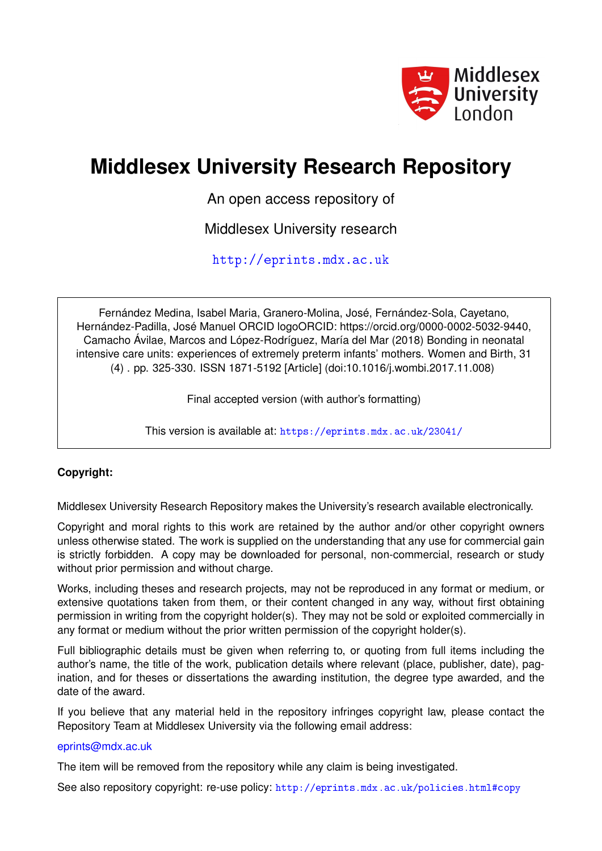

# **Middlesex University Research Repository**

An open access repository of

Middlesex University research

<http://eprints.mdx.ac.uk>

Fernández Medina, Isabel Maria, Granero-Molina, José, Fernández-Sola, Cayetano, Hernández-Padilla, José Manuel ORCID logoORCID: https://orcid.org/0000-0002-5032-9440, Camacho Ávilae, Marcos and López-Rodríguez, María del Mar (2018) Bonding in neonatal intensive care units: experiences of extremely preterm infants' mothers. Women and Birth, 31 (4) . pp. 325-330. ISSN 1871-5192 [Article] (doi:10.1016/j.wombi.2017.11.008)

Final accepted version (with author's formatting)

This version is available at: <https://eprints.mdx.ac.uk/23041/>

# **Copyright:**

Middlesex University Research Repository makes the University's research available electronically.

Copyright and moral rights to this work are retained by the author and/or other copyright owners unless otherwise stated. The work is supplied on the understanding that any use for commercial gain is strictly forbidden. A copy may be downloaded for personal, non-commercial, research or study without prior permission and without charge.

Works, including theses and research projects, may not be reproduced in any format or medium, or extensive quotations taken from them, or their content changed in any way, without first obtaining permission in writing from the copyright holder(s). They may not be sold or exploited commercially in any format or medium without the prior written permission of the copyright holder(s).

Full bibliographic details must be given when referring to, or quoting from full items including the author's name, the title of the work, publication details where relevant (place, publisher, date), pagination, and for theses or dissertations the awarding institution, the degree type awarded, and the date of the award.

If you believe that any material held in the repository infringes copyright law, please contact the Repository Team at Middlesex University via the following email address:

# [eprints@mdx.ac.uk](mailto:eprints@mdx.ac.uk)

The item will be removed from the repository while any claim is being investigated.

See also repository copyright: re-use policy: <http://eprints.mdx.ac.uk/policies.html#copy>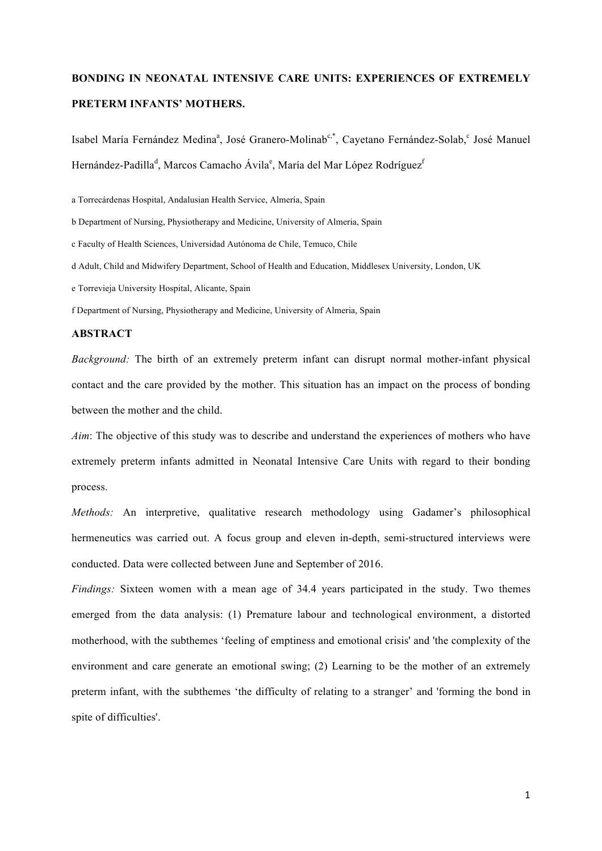# **BONDING IN NEONATAL INTENSIVE CARE UNITS: EXPERIENCES OF EXTREMELY PRETERM INFANTS' MOTHERS.**

Isabel María Fernández Medina<sup>a</sup>, José Granero-Molinab<sup>e,\*</sup>, Cayetano Fernández-Solab,<sup>e</sup> José Manuel Hernández-Padilla<sup>d</sup>, Marcos Camacho Ávila<sup>e</sup>, María del Mar López Rodríguez<sup>f</sup>

a Torrecárdenas Hospital, Andalusian Health Service, Almería, Spain

b Department of Nursing, Physiotherapy and Medicine, University of Almeria, Spain

c Faculty of Health Sciences, Universidad Autónoma de Chile, Temuco, Chile

d Adult, Child and Midwifery Department, School of Health and Education, Middlesex University, London, UK

e Torrevieja University Hospital, Alicante, Spain

f Department of Nursing, Physiotherapy and Medicine, University of Almeria, Spain

### **ABSTRACT**

*Background:* The birth of an extremely preterm infant can disrupt normal mother-infant physical contact and the care provided by the mother. This situation has an impact on the process of bonding between the mother and the child.

*Aim*: The objective of this study was to describe and understand the experiences of mothers who have extremely preterm infants admitted in Neonatal Intensive Care Units with regard to their bonding process.

*Methods:* An interpretive, qualitative research methodology using Gadamer's philosophical hermeneutics was carried out. A focus group and eleven in-depth, semi-structured interviews were conducted. Data were collected between June and September of 2016.

*Findings:* Sixteen women with a mean age of 34.4 years participated in the study. Two themes emerged from the data analysis: (1) Premature labour and technological environment, a distorted motherhood, with the subthemes 'feeling of emptiness and emotional crisis' and 'the complexity of the environment and care generate an emotional swing; (2) Learning to be the mother of an extremely preterm infant, with the subthemes 'the difficulty of relating to a stranger' and 'forming the bond in spite of difficulties'.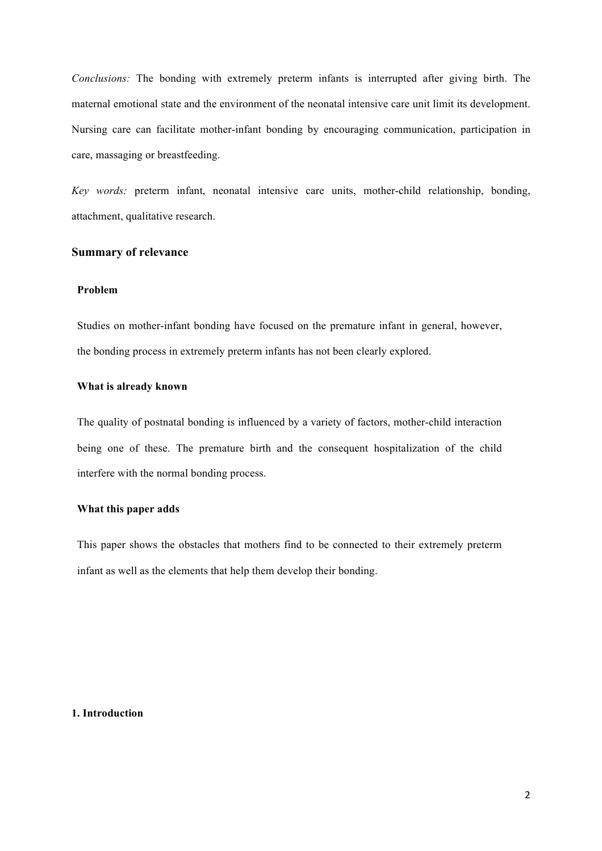*Conclusions:* The bonding with extremely preterm infants is interrupted after giving birth. The maternal emotional state and the environment of the neonatal intensive care unit limit its development. Nursing care can facilitate mother-infant bonding by encouraging communication, participation in care, massaging or breastfeeding.

*Key words:* preterm infant, neonatal intensive care units, mother-child relationship, bonding, attachment, qualitative research.

# **Summary of relevance**

### **Problem**

Studies on mother-infant bonding have focused on the premature infant in general, however, the bonding process in extremely preterm infants has not been clearly explored.

# **What is already known**

The quality of postnatal bonding is influenced by a variety of factors, mother-child interaction being one of these. The premature birth and the consequent hospitalization of the child interfere with the normal bonding process.

# **What this paper adds**

This paper shows the obstacles that mothers find to be connected to their extremely preterm infant as well as the elements that help them develop their bonding.

# **1. Introduction**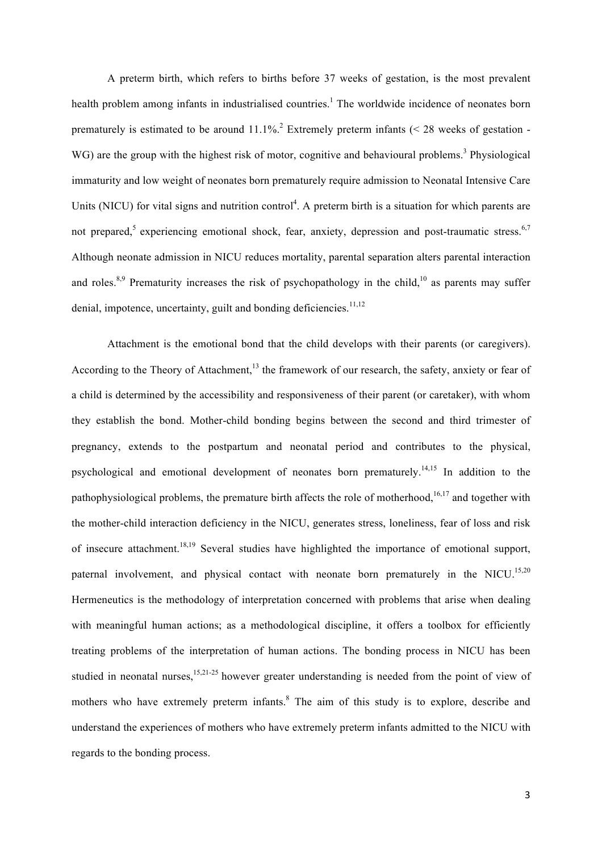A preterm birth, which refers to births before 37 weeks of gestation, is the most prevalent health problem among infants in industrialised countries.<sup>1</sup> The worldwide incidence of neonates born prematurely is estimated to be around  $11.1\%$ <sup>2</sup>. Extremely preterm infants (< 28 weeks of gestation -WG) are the group with the highest risk of motor, cognitive and behavioural problems.<sup>3</sup> Physiological immaturity and low weight of neonates born prematurely require admission to Neonatal Intensive Care Units (NICU) for vital signs and nutrition control<sup>4</sup>. A preterm birth is a situation for which parents are not prepared,<sup>5</sup> experiencing emotional shock, fear, anxiety, depression and post-traumatic stress.<sup>6,7</sup> Although neonate admission in NICU reduces mortality, parental separation alters parental interaction and roles.<sup>8,9</sup> Prematurity increases the risk of psychopathology in the child,<sup>10</sup> as parents may suffer denial, impotence, uncertainty, guilt and bonding deficiencies.<sup>11,12</sup>

Attachment is the emotional bond that the child develops with their parents (or caregivers). According to the Theory of Attachment,<sup>13</sup> the framework of our research, the safety, anxiety or fear of a child is determined by the accessibility and responsiveness of their parent (or caretaker), with whom they establish the bond. Mother-child bonding begins between the second and third trimester of pregnancy, extends to the postpartum and neonatal period and contributes to the physical, psychological and emotional development of neonates born prematurely.<sup>14,15</sup> In addition to the pathophysiological problems, the premature birth affects the role of motherhood,  $16,17$  and together with the mother-child interaction deficiency in the NICU, generates stress, loneliness, fear of loss and risk of insecure attachment.<sup>18,19</sup> Several studies have highlighted the importance of emotional support, paternal involvement, and physical contact with neonate born prematurely in the NICU.<sup>15,20</sup> Hermeneutics is the methodology of interpretation concerned with problems that arise when dealing with meaningful human actions; as a methodological discipline, it offers a toolbox for efficiently treating problems of the interpretation of human actions. The bonding process in NICU has been studied in neonatal nurses,  $15,21-25$  however greater understanding is needed from the point of view of mothers who have extremely preterm infants.<sup>8</sup> The aim of this study is to explore, describe and understand the experiences of mothers who have extremely preterm infants admitted to the NICU with regards to the bonding process.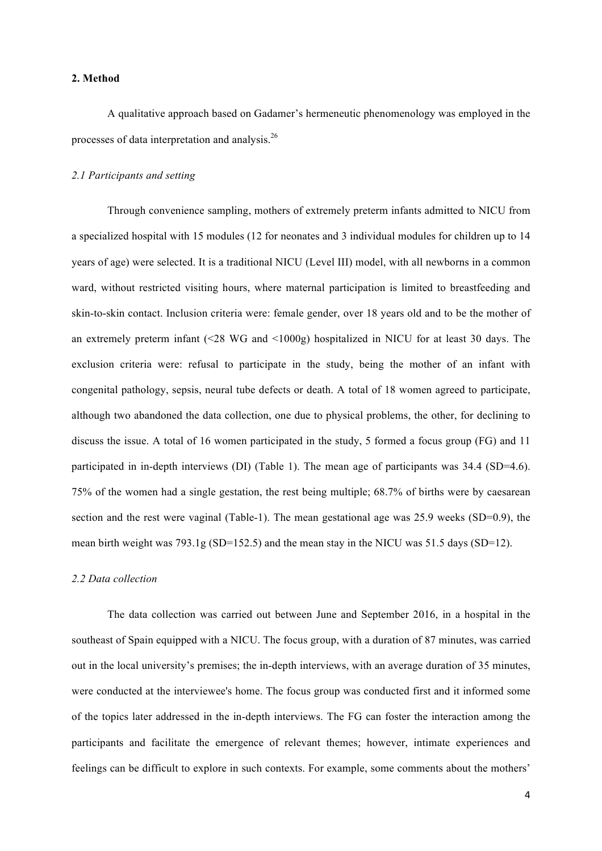# **2. Method**

A qualitative approach based on Gadamer's hermeneutic phenomenology was employed in the processes of data interpretation and analysis.<sup>26</sup>

# *2.1 Participants and setting*

Through convenience sampling, mothers of extremely preterm infants admitted to NICU from a specialized hospital with 15 modules (12 for neonates and 3 individual modules for children up to 14 years of age) were selected. It is a traditional NICU (Level III) model, with all newborns in a common ward, without restricted visiting hours, where maternal participation is limited to breastfeeding and skin-to-skin contact. Inclusion criteria were: female gender, over 18 years old and to be the mother of an extremely preterm infant (<28 WG and <1000g) hospitalized in NICU for at least 30 days. The exclusion criteria were: refusal to participate in the study, being the mother of an infant with congenital pathology, sepsis, neural tube defects or death. A total of 18 women agreed to participate, although two abandoned the data collection, one due to physical problems, the other, for declining to discuss the issue. A total of 16 women participated in the study, 5 formed a focus group (FG) and 11 participated in in-depth interviews (DI) (Table 1). The mean age of participants was 34.4 (SD=4.6). 75% of the women had a single gestation, the rest being multiple; 68.7% of births were by caesarean section and the rest were vaginal (Table-1). The mean gestational age was 25.9 weeks (SD=0.9), the mean birth weight was 793.1g (SD=152.5) and the mean stay in the NICU was 51.5 days (SD=12).

# *2.2 Data collection*

The data collection was carried out between June and September 2016, in a hospital in the southeast of Spain equipped with a NICU. The focus group, with a duration of 87 minutes, was carried out in the local university's premises; the in-depth interviews, with an average duration of 35 minutes, were conducted at the interviewee's home. The focus group was conducted first and it informed some of the topics later addressed in the in-depth interviews. The FG can foster the interaction among the participants and facilitate the emergence of relevant themes; however, intimate experiences and feelings can be difficult to explore in such contexts. For example, some comments about the mothers'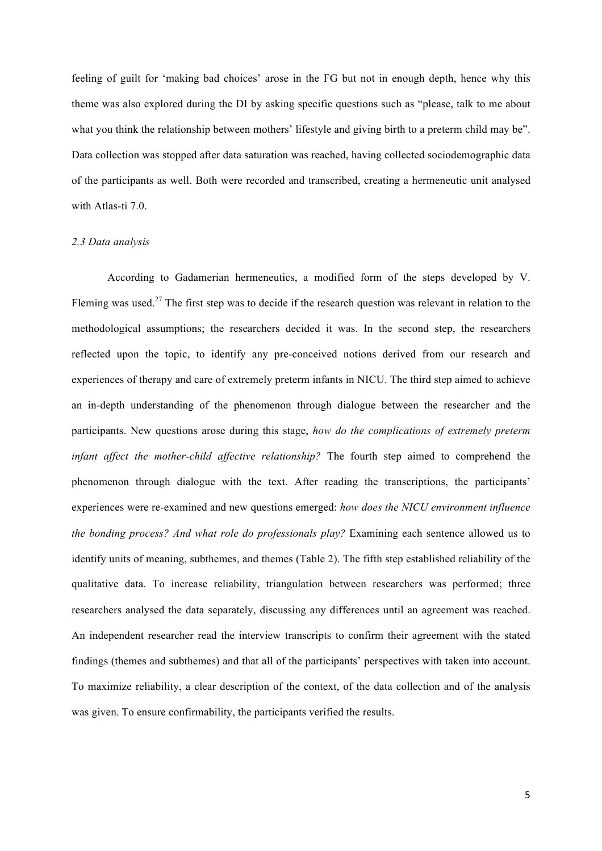feeling of guilt for 'making bad choices' arose in the FG but not in enough depth, hence why this theme was also explored during the DI by asking specific questions such as "please, talk to me about what you think the relationship between mothers' lifestyle and giving birth to a preterm child may be". Data collection was stopped after data saturation was reached, having collected sociodemographic data of the participants as well. Both were recorded and transcribed, creating a hermeneutic unit analysed with Atlas-ti 7.0.

# *2.3 Data analysis*

According to Gadamerian hermeneutics, a modified form of the steps developed by V. Fleming was used.<sup>27</sup> The first step was to decide if the research question was relevant in relation to the methodological assumptions; the researchers decided it was. In the second step, the researchers reflected upon the topic, to identify any pre-conceived notions derived from our research and experiences of therapy and care of extremely preterm infants in NICU. The third step aimed to achieve an in-depth understanding of the phenomenon through dialogue between the researcher and the participants. New questions arose during this stage, *how do the complications of extremely preterm infant affect the mother-child affective relationship?* The fourth step aimed to comprehend the phenomenon through dialogue with the text. After reading the transcriptions, the participants' experiences were re-examined and new questions emerged: *how does the NICU environment influence the bonding process? And what role do professionals play?* Examining each sentence allowed us to identify units of meaning, subthemes, and themes (Table 2). The fifth step established reliability of the qualitative data. To increase reliability, triangulation between researchers was performed; three researchers analysed the data separately, discussing any differences until an agreement was reached. An independent researcher read the interview transcripts to confirm their agreement with the stated findings (themes and subthemes) and that all of the participants' perspectives with taken into account. To maximize reliability, a clear description of the context, of the data collection and of the analysis was given. To ensure confirmability, the participants verified the results.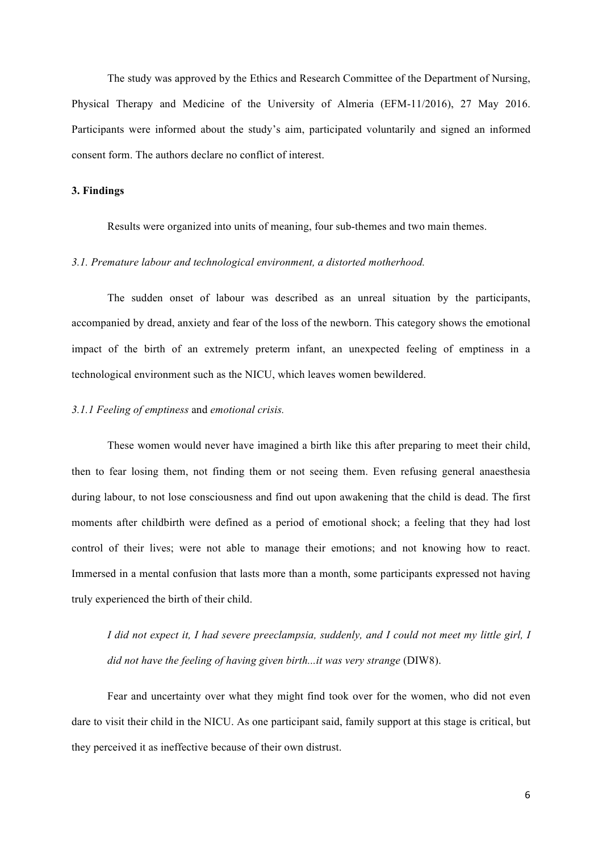The study was approved by the Ethics and Research Committee of the Department of Nursing, Physical Therapy and Medicine of the University of Almeria (EFM-11/2016), 27 May 2016. Participants were informed about the study's aim, participated voluntarily and signed an informed consent form. The authors declare no conflict of interest.

### **3. Findings**

Results were organized into units of meaning, four sub-themes and two main themes.

# *3.1. Premature labour and technological environment, a distorted motherhood.*

The sudden onset of labour was described as an unreal situation by the participants, accompanied by dread, anxiety and fear of the loss of the newborn. This category shows the emotional impact of the birth of an extremely preterm infant, an unexpected feeling of emptiness in a technological environment such as the NICU, which leaves women bewildered.

# *3.1.1 Feeling of emptiness* and *emotional crisis.*

These women would never have imagined a birth like this after preparing to meet their child, then to fear losing them, not finding them or not seeing them. Even refusing general anaesthesia during labour, to not lose consciousness and find out upon awakening that the child is dead. The first moments after childbirth were defined as a period of emotional shock; a feeling that they had lost control of their lives; were not able to manage their emotions; and not knowing how to react. Immersed in a mental confusion that lasts more than a month, some participants expressed not having truly experienced the birth of their child.

*I did not expect it, I had severe preeclampsia, suddenly, and I could not meet my little girl, I did not have the feeling of having given birth...it was very strange* (DIW8).

Fear and uncertainty over what they might find took over for the women, who did not even dare to visit their child in the NICU. As one participant said, family support at this stage is critical, but they perceived it as ineffective because of their own distrust.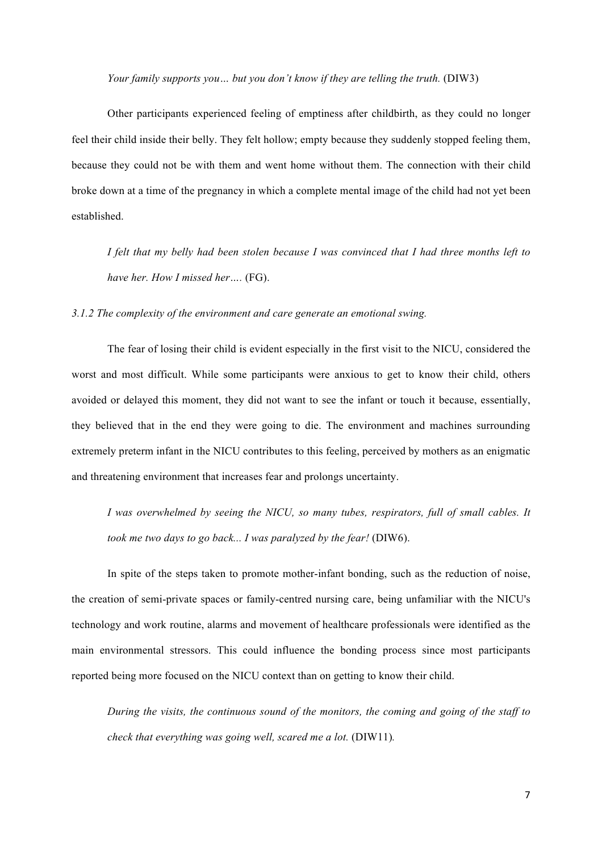*Your family supports you... but you don't know if they are telling the truth.* (DIW3)

Other participants experienced feeling of emptiness after childbirth, as they could no longer feel their child inside their belly. They felt hollow; empty because they suddenly stopped feeling them, because they could not be with them and went home without them. The connection with their child broke down at a time of the pregnancy in which a complete mental image of the child had not yet been established.

*I felt that my belly had been stolen because I was convinced that I had three months left to have her. How I missed her….* (FG).

*3.1.2 The complexity of the environment and care generate an emotional swing.*

The fear of losing their child is evident especially in the first visit to the NICU, considered the worst and most difficult. While some participants were anxious to get to know their child, others avoided or delayed this moment, they did not want to see the infant or touch it because, essentially, they believed that in the end they were going to die. The environment and machines surrounding extremely preterm infant in the NICU contributes to this feeling, perceived by mothers as an enigmatic and threatening environment that increases fear and prolongs uncertainty.

*I was overwhelmed by seeing the NICU, so many tubes, respirators, full of small cables. It took me two days to go back... I was paralyzed by the fear!* (DIW6).

In spite of the steps taken to promote mother-infant bonding, such as the reduction of noise, the creation of semi-private spaces or family-centred nursing care, being unfamiliar with the NICU's technology and work routine, alarms and movement of healthcare professionals were identified as the main environmental stressors. This could influence the bonding process since most participants reported being more focused on the NICU context than on getting to know their child.

*During the visits, the continuous sound of the monitors, the coming and going of the staff to check that everything was going well, scared me a lot.* (DIW11).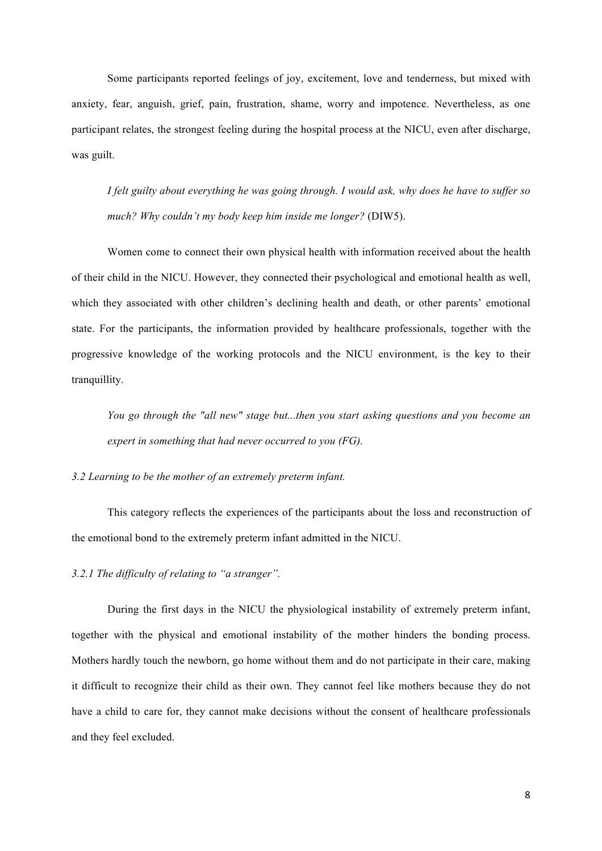Some participants reported feelings of joy, excitement, love and tenderness, but mixed with anxiety, fear, anguish, grief, pain, frustration, shame, worry and impotence. Nevertheless, as one participant relates, the strongest feeling during the hospital process at the NICU, even after discharge, was guilt.

*I felt guilty about everything he was going through. I would ask, why does he have to suffer so much? Why couldn't my body keep him inside me longer?* (DIW5).

Women come to connect their own physical health with information received about the health of their child in the NICU. However, they connected their psychological and emotional health as well, which they associated with other children's declining health and death, or other parents' emotional state. For the participants, the information provided by healthcare professionals, together with the progressive knowledge of the working protocols and the NICU environment, is the key to their tranquillity.

*You go through the "all new" stage but...then you start asking questions and you become an expert in something that had never occurred to you (FG).*

*3.2 Learning to be the mother of an extremely preterm infant.*

This category reflects the experiences of the participants about the loss and reconstruction of the emotional bond to the extremely preterm infant admitted in the NICU.

*3.2.1 The difficulty of relating to "a stranger".*

During the first days in the NICU the physiological instability of extremely preterm infant, together with the physical and emotional instability of the mother hinders the bonding process. Mothers hardly touch the newborn, go home without them and do not participate in their care, making it difficult to recognize their child as their own. They cannot feel like mothers because they do not have a child to care for, they cannot make decisions without the consent of healthcare professionals and they feel excluded.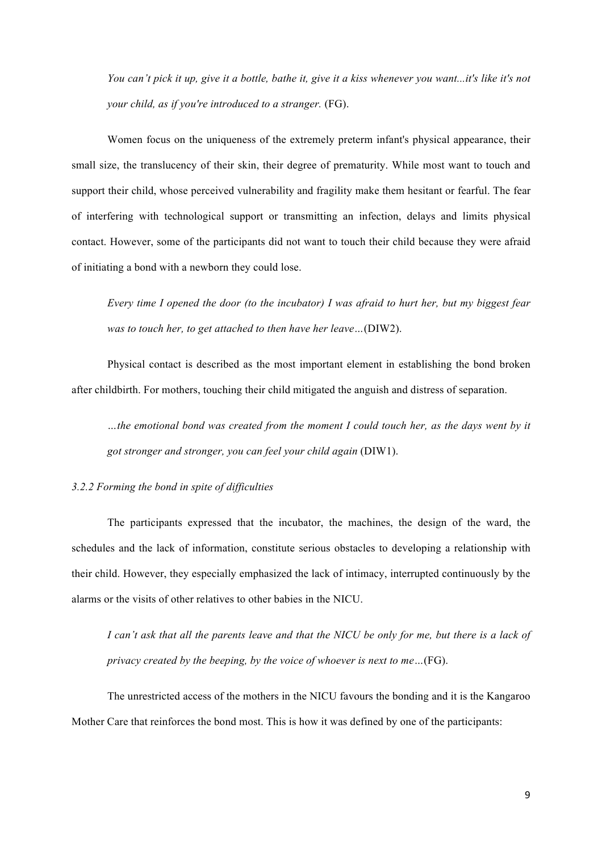*You can't pick it up, give it a bottle, bathe it, give it a kiss whenever you want...it's like it's not your child, as if you're introduced to a stranger.* (FG).

Women focus on the uniqueness of the extremely preterm infant's physical appearance, their small size, the translucency of their skin, their degree of prematurity. While most want to touch and support their child, whose perceived vulnerability and fragility make them hesitant or fearful. The fear of interfering with technological support or transmitting an infection, delays and limits physical contact. However, some of the participants did not want to touch their child because they were afraid of initiating a bond with a newborn they could lose.

*Every time I opened the door (to the incubator) I was afraid to hurt her, but my biggest fear was to touch her, to get attached to then have her leave…*(DIW2).

Physical contact is described as the most important element in establishing the bond broken after childbirth. For mothers, touching their child mitigated the anguish and distress of separation.

*…the emotional bond was created from the moment I could touch her, as the days went by it got stronger and stronger, you can feel your child again* (DIW1).

# *3.2.2 Forming the bond in spite of difficulties*

The participants expressed that the incubator, the machines, the design of the ward, the schedules and the lack of information, constitute serious obstacles to developing a relationship with their child. However, they especially emphasized the lack of intimacy, interrupted continuously by the alarms or the visits of other relatives to other babies in the NICU.

*I can't ask that all the parents leave and that the NICU be only for me, but there is a lack of privacy created by the beeping, by the voice of whoever is next to me…*(FG).

The unrestricted access of the mothers in the NICU favours the bonding and it is the Kangaroo Mother Care that reinforces the bond most. This is how it was defined by one of the participants: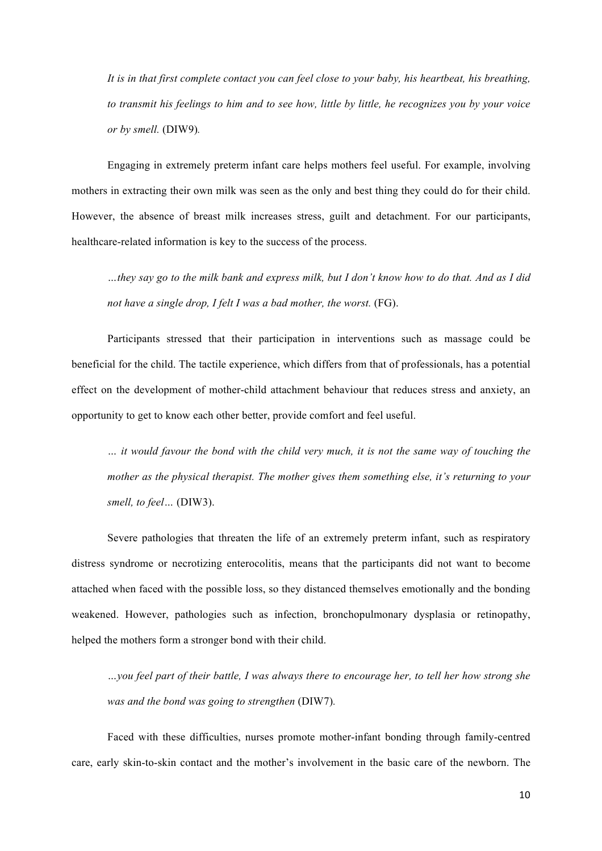*It is in that first complete contact you can feel close to your baby, his heartbeat, his breathing, to transmit his feelings to him and to see how, little by little, he recognizes you by your voice or by smell.* (DIW9)*.*

Engaging in extremely preterm infant care helps mothers feel useful. For example, involving mothers in extracting their own milk was seen as the only and best thing they could do for their child. However, the absence of breast milk increases stress, guilt and detachment. For our participants, healthcare-related information is key to the success of the process.

*…they say go to the milk bank and express milk, but I don't know how to do that. And as I did not have a single drop, I felt I was a bad mother, the worst.* (FG).

Participants stressed that their participation in interventions such as massage could be beneficial for the child. The tactile experience, which differs from that of professionals, has a potential effect on the development of mother-child attachment behaviour that reduces stress and anxiety, an opportunity to get to know each other better, provide comfort and feel useful.

*… it would favour the bond with the child very much, it is not the same way of touching the mother as the physical therapist. The mother gives them something else, it's returning to your smell, to feel…* (DIW3).

Severe pathologies that threaten the life of an extremely preterm infant, such as respiratory distress syndrome or necrotizing enterocolitis, means that the participants did not want to become attached when faced with the possible loss, so they distanced themselves emotionally and the bonding weakened. However, pathologies such as infection, bronchopulmonary dysplasia or retinopathy, helped the mothers form a stronger bond with their child.

*…you feel part of their battle, I was always there to encourage her, to tell her how strong she was and the bond was going to strengthen* (DIW7)*.*

Faced with these difficulties, nurses promote mother-infant bonding through family-centred care, early skin-to-skin contact and the mother's involvement in the basic care of the newborn. The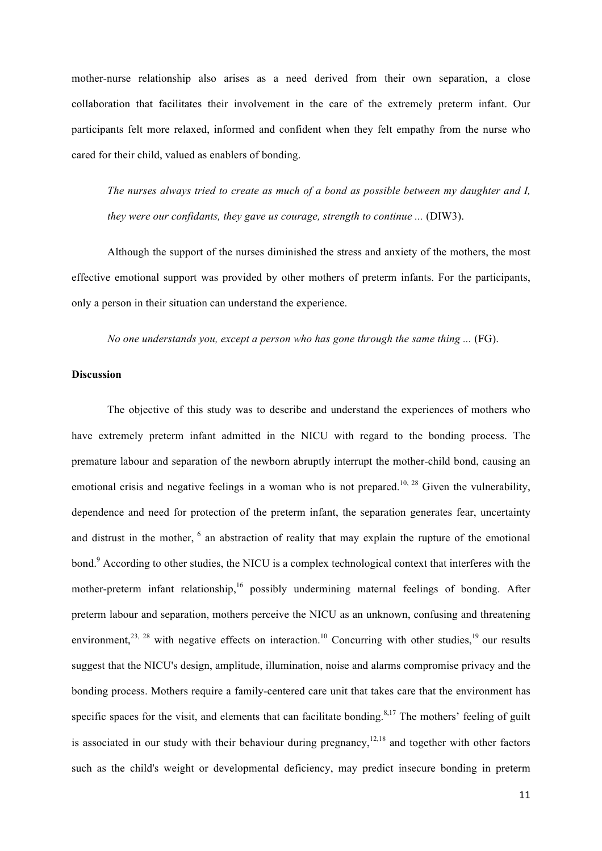mother-nurse relationship also arises as a need derived from their own separation, a close collaboration that facilitates their involvement in the care of the extremely preterm infant. Our participants felt more relaxed, informed and confident when they felt empathy from the nurse who cared for their child, valued as enablers of bonding.

*The nurses always tried to create as much of a bond as possible between my daughter and I, they were our confidants, they gave us courage, strength to continue ... (DIW3).* 

Although the support of the nurses diminished the stress and anxiety of the mothers, the most effective emotional support was provided by other mothers of preterm infants. For the participants, only a person in their situation can understand the experience.

*No one understands you, except a person who has gone through the same thing ...* (FG).

#### **Discussion**

The objective of this study was to describe and understand the experiences of mothers who have extremely preterm infant admitted in the NICU with regard to the bonding process. The premature labour and separation of the newborn abruptly interrupt the mother-child bond, causing an emotional crisis and negative feelings in a woman who is not prepared.<sup>10, 28</sup> Given the vulnerability, dependence and need for protection of the preterm infant, the separation generates fear, uncertainty and distrust in the mother, <sup>6</sup> an abstraction of reality that may explain the rupture of the emotional bond.<sup>9</sup> According to other studies, the NICU is a complex technological context that interferes with the mother-preterm infant relationship,<sup>16</sup> possibly undermining maternal feelings of bonding. After preterm labour and separation, mothers perceive the NICU as an unknown, confusing and threatening environment,<sup>23, 28</sup> with negative effects on interaction.<sup>10</sup> Concurring with other studies,<sup>19</sup> our results suggest that the NICU's design, amplitude, illumination, noise and alarms compromise privacy and the bonding process. Mothers require a family-centered care unit that takes care that the environment has specific spaces for the visit, and elements that can facilitate bonding. $8,17$  The mothers' feeling of guilt is associated in our study with their behaviour during pregnancy,<sup>12,18</sup> and together with other factors such as the child's weight or developmental deficiency, may predict insecure bonding in preterm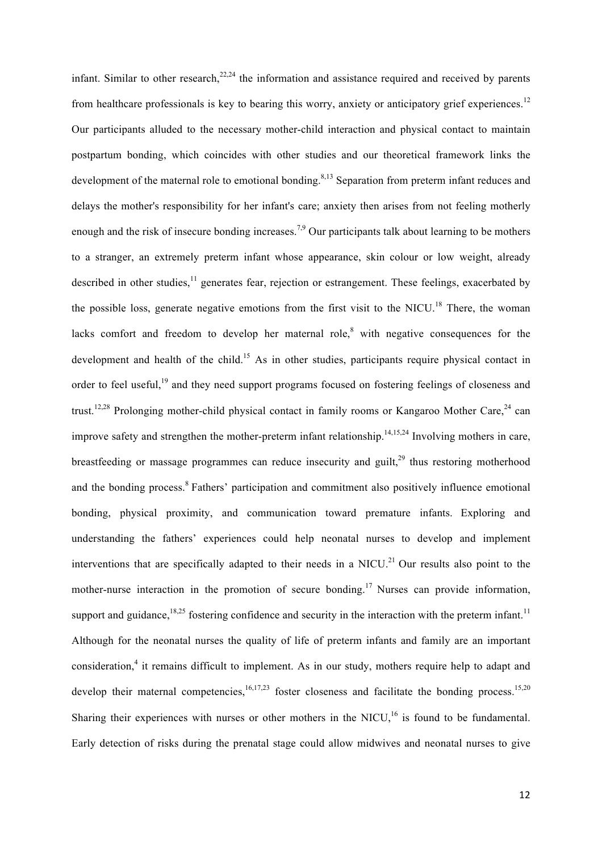infant. Similar to other research,  $22,24$  the information and assistance required and received by parents from healthcare professionals is key to bearing this worry, anxiety or anticipatory grief experiences.<sup>12</sup> Our participants alluded to the necessary mother-child interaction and physical contact to maintain postpartum bonding, which coincides with other studies and our theoretical framework links the development of the maternal role to emotional bonding.<sup>8,13</sup> Separation from preterm infant reduces and delays the mother's responsibility for her infant's care; anxiety then arises from not feeling motherly enough and the risk of insecure bonding increases.<sup>7,9</sup> Our participants talk about learning to be mothers to a stranger, an extremely preterm infant whose appearance, skin colour or low weight, already described in other studies,<sup>11</sup> generates fear, rejection or estrangement. These feelings, exacerbated by the possible loss, generate negative emotions from the first visit to the NICU.<sup>18</sup> There, the woman lacks comfort and freedom to develop her maternal role, $\delta$  with negative consequences for the development and health of the child.<sup>15</sup> As in other studies, participants require physical contact in order to feel useful,<sup>19</sup> and they need support programs focused on fostering feelings of closeness and trust.<sup>12,28</sup> Prolonging mother-child physical contact in family rooms or Kangaroo Mother Care,<sup>24</sup> can improve safety and strengthen the mother-preterm infant relationship.<sup>14,15,24</sup> Involving mothers in care, breastfeeding or massage programmes can reduce insecurity and guilt.<sup>29</sup> thus restoring motherhood and the bonding process.<sup>8</sup> Fathers' participation and commitment also positively influence emotional bonding, physical proximity, and communication toward premature infants. Exploring and understanding the fathers' experiences could help neonatal nurses to develop and implement interventions that are specifically adapted to their needs in a NICU.<sup>21</sup> Our results also point to the mother-nurse interaction in the promotion of secure bonding.<sup>17</sup> Nurses can provide information, support and guidance,  $18,25$  fostering confidence and security in the interaction with the preterm infant.<sup>11</sup> Although for the neonatal nurses the quality of life of preterm infants and family are an important consideration,<sup>4</sup> it remains difficult to implement. As in our study, mothers require help to adapt and develop their maternal competencies,  $16,17,23$  foster closeness and facilitate the bonding process.  $15,20$ Sharing their experiences with nurses or other mothers in the  $NICU<sub>16</sub>$  is found to be fundamental. Early detection of risks during the prenatal stage could allow midwives and neonatal nurses to give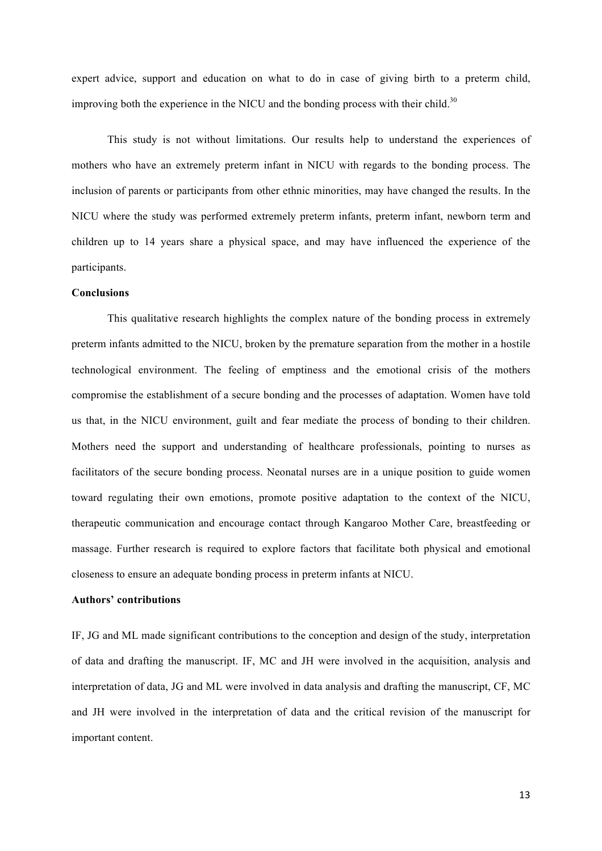expert advice, support and education on what to do in case of giving birth to a preterm child, improving both the experience in the NICU and the bonding process with their child. $30$ 

This study is not without limitations. Our results help to understand the experiences of mothers who have an extremely preterm infant in NICU with regards to the bonding process. The inclusion of parents or participants from other ethnic minorities, may have changed the results. In the NICU where the study was performed extremely preterm infants, preterm infant, newborn term and children up to 14 years share a physical space, and may have influenced the experience of the participants.

# **Conclusions**

This qualitative research highlights the complex nature of the bonding process in extremely preterm infants admitted to the NICU, broken by the premature separation from the mother in a hostile technological environment. The feeling of emptiness and the emotional crisis of the mothers compromise the establishment of a secure bonding and the processes of adaptation. Women have told us that, in the NICU environment, guilt and fear mediate the process of bonding to their children. Mothers need the support and understanding of healthcare professionals, pointing to nurses as facilitators of the secure bonding process. Neonatal nurses are in a unique position to guide women toward regulating their own emotions, promote positive adaptation to the context of the NICU, therapeutic communication and encourage contact through Kangaroo Mother Care, breastfeeding or massage. Further research is required to explore factors that facilitate both physical and emotional closeness to ensure an adequate bonding process in preterm infants at NICU.

# **Authors' contributions**

IF, JG and ML made significant contributions to the conception and design of the study, interpretation of data and drafting the manuscript. IF, MC and JH were involved in the acquisition, analysis and interpretation of data, JG and ML were involved in data analysis and drafting the manuscript, CF, MC and JH were involved in the interpretation of data and the critical revision of the manuscript for important content.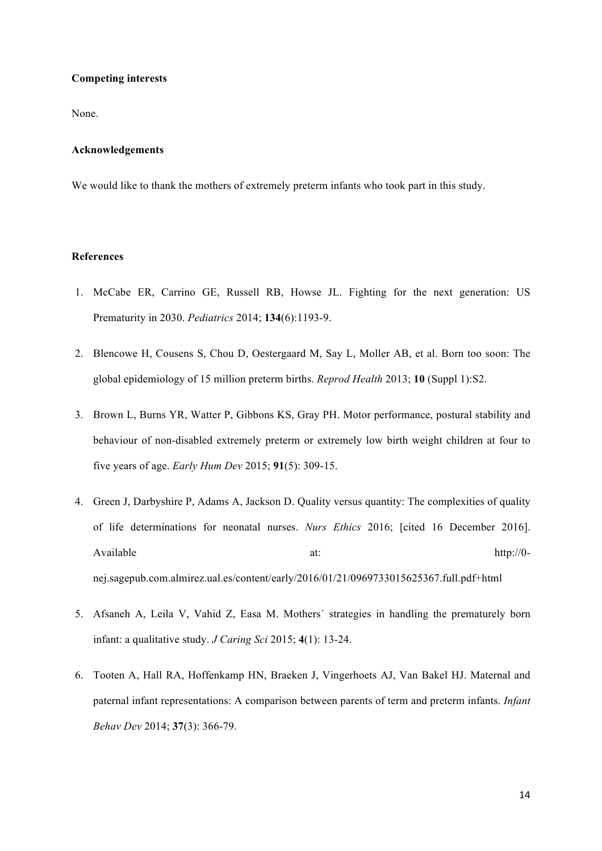# **Competing interests**

None.

# **Acknowledgements**

We would like to thank the mothers of extremely preterm infants who took part in this study.

# **References**

- 1. McCabe ER, Carrino GE, Russell RB, Howse JL. Fighting for the next generation: US Prematurity in 2030. *Pediatrics* 2014; **134**(6):1193-9.
- 2. Blencowe H, Cousens S, Chou D, Oestergaard M, Say L, Moller AB, et al. Born too soon: The global epidemiology of 15 million preterm births. *Reprod Health* 2013; **10** (Suppl 1):S2.
- 3. Brown L, Burns YR, Watter P, Gibbons KS, Gray PH. Motor performance, postural stability and behaviour of non-disabled extremely preterm or extremely low birth weight children at four to five years of age. *Early Hum Dev* 2015; **91**(5): 309-15.
- 4. Green J, Darbyshire P, Adams A, Jackson D. Quality versus quantity: The complexities of quality of life determinations for neonatal nurses. *Nurs Ethics* 2016; [cited 16 December 2016]. Available at: http://0nej.sagepub.com.almirez.ual.es/content/early/2016/01/21/0969733015625367.full.pdf+html
- 5. Afsaneh A, Leila V, Vahid Z, Easa M. Mothers´ strategies in handling the prematurely born infant: a qualitative study. *J Caring Sci* 2015; **4**(1): 13-24.
- 6. Tooten A, Hall RA, Hoffenkamp HN, Braeken J, Vingerhoets AJ, Van Bakel HJ. Maternal and paternal infant representations: A comparison between parents of term and preterm infants. *Infant Behav Dev* 2014; **37**(3): 366-79.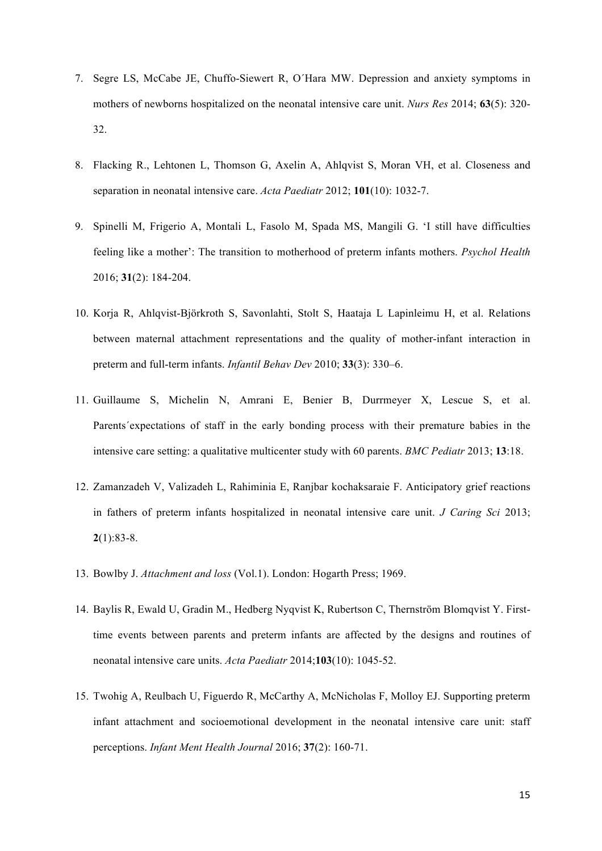- 7. Segre LS, McCabe JE, Chuffo-Siewert R, O´Hara MW. Depression and anxiety symptoms in mothers of newborns hospitalized on the neonatal intensive care unit. *Nurs Res* 2014; **63**(5): 320- 32.
- 8. Flacking R., Lehtonen L, Thomson G, Axelin A, Ahlqvist S, Moran VH, et al. Closeness and separation in neonatal intensive care. *Acta Paediatr* 2012; **101**(10): 1032-7.
- 9. Spinelli M, Frigerio A, Montali L, Fasolo M, Spada MS, Mangili G. 'I still have difficulties feeling like a mother': The transition to motherhood of preterm infants mothers. *Psychol Health* 2016; **31**(2): 184-204.
- 10. Korja R, Ahlqvist-Björkroth S, Savonlahti, Stolt S, Haataja L Lapinleimu H, et al. Relations between maternal attachment representations and the quality of mother-infant interaction in preterm and full-term infants. *Infantil Behav Dev* 2010; **33**(3): 330–6.
- 11. Guillaume S, Michelin N, Amrani E, Benier B, Durrmeyer X, Lescue S, et al. Parents´expectations of staff in the early bonding process with their premature babies in the intensive care setting: a qualitative multicenter study with 60 parents. *BMC Pediatr* 2013; **13**:18.
- 12. Zamanzadeh V, Valizadeh L, Rahiminia E, Ranjbar kochaksaraie F. Anticipatory grief reactions in fathers of preterm infants hospitalized in neonatal intensive care unit. *J Caring Sci* 2013; **2**(1):83-8.
- 13. Bowlby J. *Attachment and loss* (Vol.1). London: Hogarth Press; 1969.
- 14. Baylis R, Ewald U, Gradin M., Hedberg Nyqvist K, Rubertson C, Thernström Blomqvist Y. Firsttime events between parents and preterm infants are affected by the designs and routines of neonatal intensive care units. *Acta Paediatr* 2014;**103**(10): 1045-52.
- 15. Twohig A, Reulbach U, Figuerdo R, McCarthy A, McNicholas F, Molloy EJ. Supporting preterm infant attachment and socioemotional development in the neonatal intensive care unit: staff perceptions. *Infant Ment Health Journal* 2016; **37**(2): 160-71.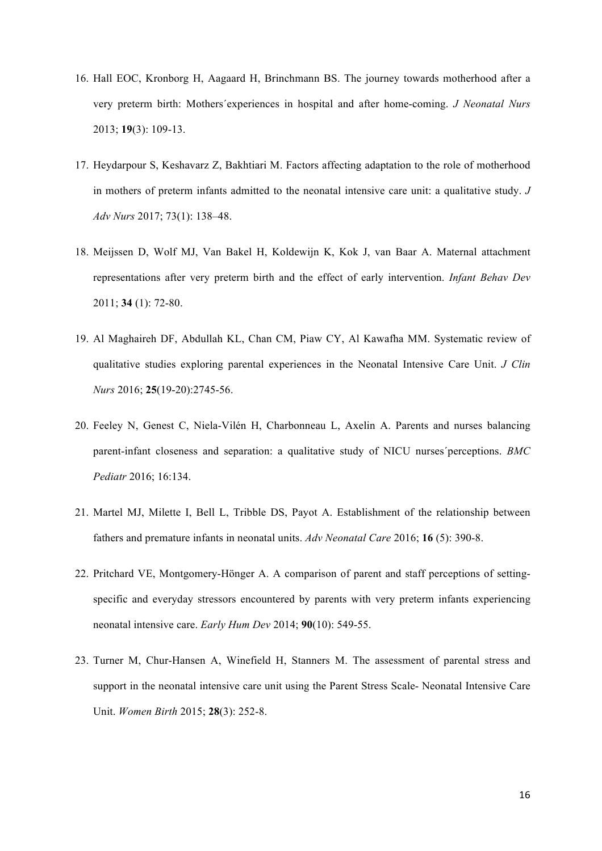- 16. Hall EOC, Kronborg H, Aagaard H, Brinchmann BS. The journey towards motherhood after a very preterm birth: Mothers´experiences in hospital and after home-coming. *J Neonatal Nurs* 2013; **19**(3): 109-13.
- 17. Heydarpour S, Keshavarz Z, Bakhtiari M. Factors affecting adaptation to the role of motherhood in mothers of preterm infants admitted to the neonatal intensive care unit: a qualitative study. *J Adv Nurs* 2017; 73(1): 138–48.
- 18. Meijssen D, Wolf MJ, Van Bakel H, Koldewijn K, Kok J, van Baar A. Maternal attachment representations after very preterm birth and the effect of early intervention. *Infant Behav Dev* 2011; **34** (1): 72-80.
- 19. Al Maghaireh DF, Abdullah KL, Chan CM, Piaw CY, Al Kawafha MM. Systematic review of qualitative studies exploring parental experiences in the Neonatal Intensive Care Unit. *J Clin Nurs* 2016; **25**(19-20):2745-56.
- 20. Feeley N, Genest C, Niela-Vilén H, Charbonneau L, Axelin A. Parents and nurses balancing parent-infant closeness and separation: a qualitative study of NICU nurses´perceptions. *BMC Pediatr* 2016; 16:134.
- 21. Martel MJ, Milette I, Bell L, Tribble DS, Payot A. Establishment of the relationship between fathers and premature infants in neonatal units. *Adv Neonatal Care* 2016; **16** (5): 390-8.
- 22. Pritchard VE, Montgomery-Hönger A. A comparison of parent and staff perceptions of settingspecific and everyday stressors encountered by parents with very preterm infants experiencing neonatal intensive care. *Early Hum Dev* 2014; **90**(10): 549-55.
- 23. Turner M, Chur-Hansen A, Winefield H, Stanners M. The assessment of parental stress and support in the neonatal intensive care unit using the Parent Stress Scale- Neonatal Intensive Care Unit. *Women Birth* 2015; **28**(3): 252-8.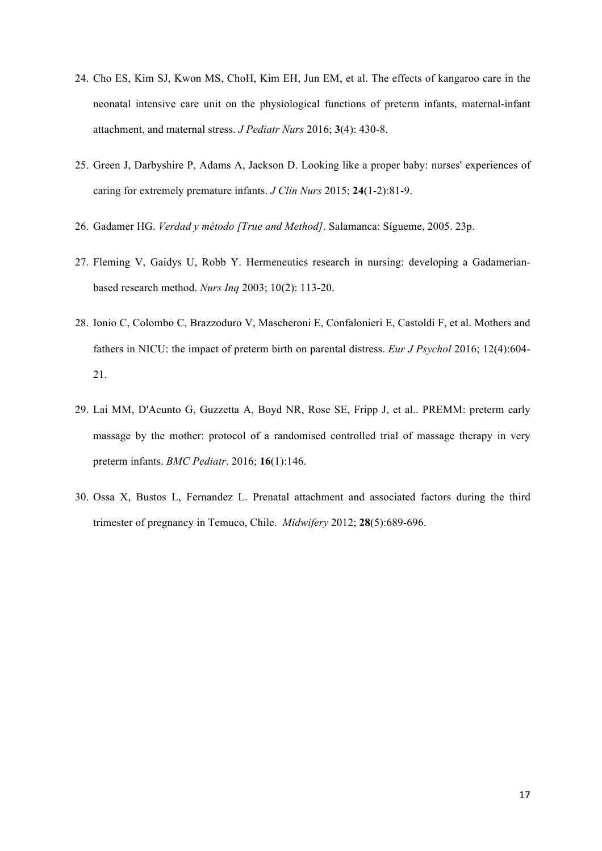- 24. Cho ES, Kim SJ, Kwon MS, ChoH, Kim EH, Jun EM, et al. The effects of kangaroo care in the neonatal intensive care unit on the physiological functions of preterm infants, maternal-infant attachment, and maternal stress. *J Pediatr Nurs* 2016; **3**(4): 430-8.
- 25. Green J, Darbyshire P, Adams A, Jackson D. Looking like a proper baby: nurses' experiences of caring for extremely premature infants. *J Clin Nurs* 2015; **24**(1-2):81-9.
- 26. Gadamer HG. *Verdad y método [True and Method]*. Salamanca: Sígueme, 2005. 23p.
- 27. Fleming V, Gaidys U, Robb Y. Hermeneutics research in nursing: developing a Gadamerianbased research method. *Nurs Inq* 2003; 10(2): 113-20.
- 28. Ionio C, Colombo C, Brazzoduro V, Mascheroni E, Confalonieri E, Castoldi F, et al. Mothers and fathers in NICU: the impact of preterm birth on parental distress. *Eur J Psychol* 2016; 12(4):604- 21.
- 29. Lai MM, D'Acunto G, Guzzetta A, Boyd NR, Rose SE, Fripp J, et al.. PREMM: preterm early massage by the mother: protocol of a randomised controlled trial of massage therapy in very preterm infants. *BMC Pediatr*. 2016; **16**(1):146.
- 30. Ossa X, Bustos L, Fernandez L. Prenatal attachment and associated factors during the third trimester of pregnancy in Temuco, Chile. *Midwifery* 2012; **28**(5):689-696.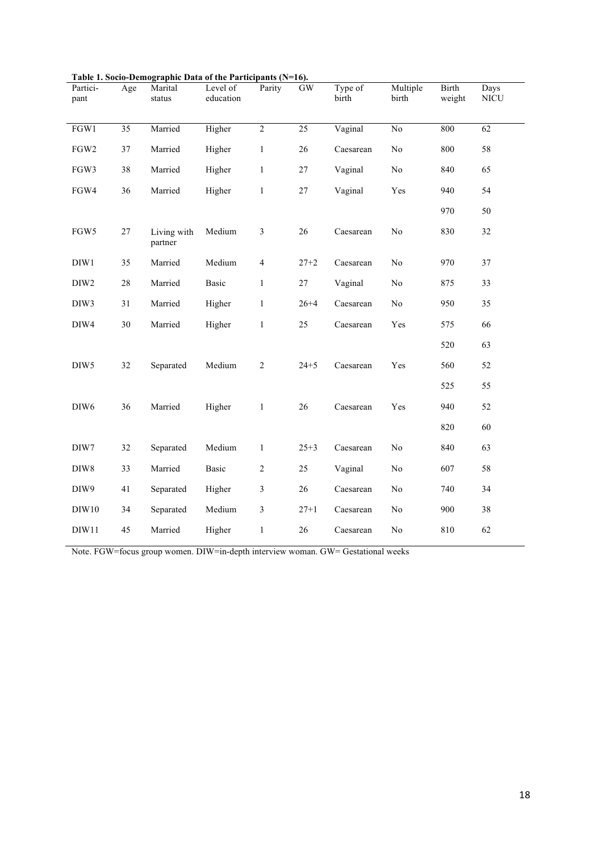| Partici-<br>pant | Age    | raoic 1. Socio Demographic Data of the Farticipants (10 10).<br>Marital<br>status | Level of<br>education | Parity         | <b>GW</b> | Type of<br>birth | Multiple<br>birth | <b>Birth</b><br>weight | Days<br><b>NICU</b> |
|------------------|--------|-----------------------------------------------------------------------------------|-----------------------|----------------|-----------|------------------|-------------------|------------------------|---------------------|
| FGW1             | 35     | Married                                                                           | Higher                | $\overline{2}$ | 25        | Vaginal          | $\overline{No}$   | 800                    | 62                  |
| FGW2             | 37     | Married                                                                           | Higher                | $\mathbf{1}$   | $26\,$    | Caesarean        | $\rm No$          | 800                    | 58                  |
| FGW3             | 38     | Married                                                                           | Higher                | $1\,$          | $27\,$    | Vaginal          | No                | 840                    | 65                  |
| FGW4             | 36     | Married                                                                           | Higher                | $\,1$          | $27\,$    | Vaginal          | Yes               | 940                    | 54                  |
|                  |        |                                                                                   |                       |                |           |                  |                   | 970                    | 50                  |
| FGW5             | $27\,$ | Living with<br>partner                                                            | Medium                | $\mathfrak{Z}$ | $26\,$    | Caesarean        | $\rm No$          | 830                    | 32                  |
| DIW1             | 35     | Married                                                                           | Medium                | $\overline{4}$ | $27 + 2$  | Caesarean        | $\rm No$          | 970                    | 37                  |
| DIW <sub>2</sub> | $28\,$ | Married                                                                           | Basic                 | $\mathbf{1}$   | 27        | Vaginal          | N <sub>0</sub>    | 875                    | 33                  |
| DIW3             | 31     | Married                                                                           | Higher                | $\mathbf{1}$   | $26 + 4$  | Caesarean        | No                | 950                    | 35                  |
| DIW4             | $30\,$ | Married                                                                           | Higher                | $\,1$          | 25        | Caesarean        | Yes               | 575                    | 66                  |
|                  |        |                                                                                   |                       |                |           |                  |                   | 520                    | 63                  |
| DIW <sub>5</sub> | 32     | Separated                                                                         | Medium                | $\overline{c}$ | $24 + 5$  | Caesarean        | Yes               | 560                    | 52                  |
|                  |        |                                                                                   |                       |                |           |                  |                   | 525                    | 55                  |
| DIW <sub>6</sub> | 36     | Married                                                                           | Higher                | $\mathbf{1}$   | 26        | Caesarean        | Yes               | 940                    | 52                  |
|                  |        |                                                                                   |                       |                |           |                  |                   | 820                    | 60                  |
| DIW7             | 32     | Separated                                                                         | Medium                | $\mathbf{1}$   | $25 + 3$  | Caesarean        | No                | 840                    | 63                  |
| DIW8             | 33     | Married                                                                           | <b>Basic</b>          | $\overline{2}$ | 25        | Vaginal          | No                | 607                    | 58                  |
| DIW9             | 41     | Separated                                                                         | Higher                | $\mathfrak{Z}$ | $26\,$    | Caesarean        | No                | 740                    | 34                  |
| DIW10            | 34     | Separated                                                                         | Medium                | $\mathfrak{Z}$ | $27 + 1$  | Caesarean        | No                | 900                    | 38                  |
| DIW11            | 45     | Married                                                                           | Higher                | $\mathbf{1}$   | 26        | Caesarean        | $\rm No$          | 810                    | 62                  |

**Table 1. Socio-Demographic Data of the Participants (N=16).**

Note. FGW=focus group women. DIW=in-depth interview woman. GW= Gestational weeks